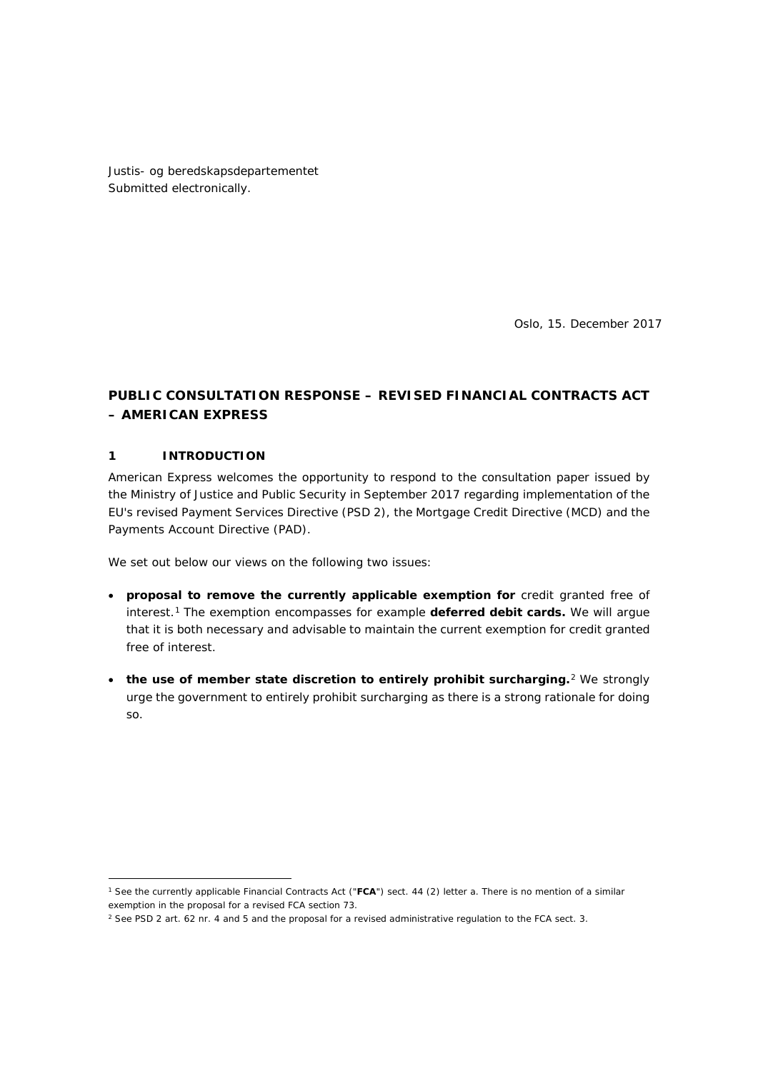Justis- og beredskapsdepartementet Submitted electronically.

Oslo, 15. December 2017

# **PUBLIC CONSULTATION RESPONSE – REVISED FINANCIAL CONTRACTS ACT – AMERICAN EXPRESS**

#### **1 INTRODUCTION**

American Express welcomes the opportunity to respond to the consultation paper issued by the Ministry of Justice and Public Security in September 2017 regarding implementation of the EU's revised Payment Services Directive (PSD 2), the Mortgage Credit Directive (MCD) and the Payments Account Directive (PAD).

We set out below our views on the following two issues:

- **proposal to remove the currently applicable exemption for** credit granted free of interest.[1](#page-0-0) The exemption encompasses for example **deferred debit cards.** We will argue that it is both necessary and advisable to maintain the current exemption for credit granted free of interest.
- **the use of member state discretion to entirely prohibit surcharging.**[2](#page-0-1) We strongly urge the government to entirely prohibit surcharging as there is a strong rationale for doing so.

<span id="page-0-0"></span><sup>&</sup>lt;u>.</u> <sup>1</sup> See the currently applicable Financial Contracts Act ("**FCA**") sect. 44 (2) letter a. There is no mention of a similar exemption in the proposal for a revised FCA section 73.

<span id="page-0-1"></span><sup>&</sup>lt;sup>2</sup> See PSD 2 art. 62 nr. 4 and 5 and the proposal for a revised administrative regulation to the FCA sect. 3.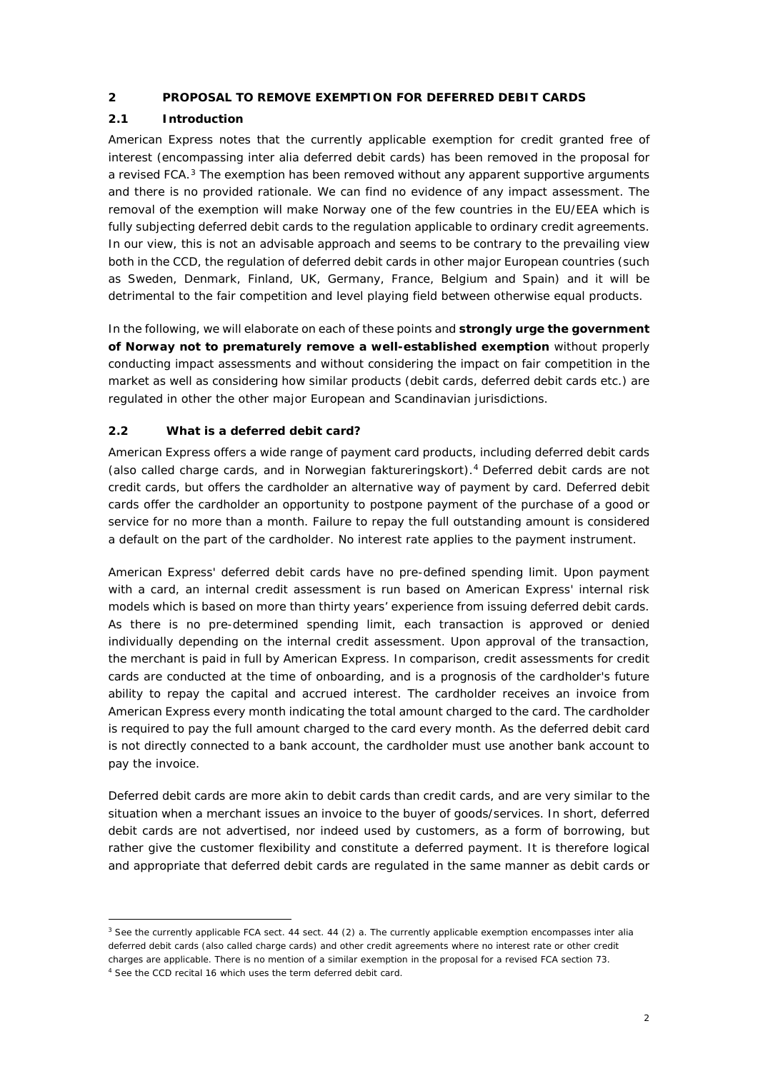#### **2 PROPOSAL TO REMOVE EXEMPTION FOR DEFERRED DEBIT CARDS**

## **2.1 Introduction**

American Express notes that the currently applicable exemption for credit granted free of interest (encompassing inter alia deferred debit cards) has been removed in the proposal for a revised FCA.<sup>[3](#page-1-0)</sup> The exemption has been removed without any apparent supportive arguments and there is no provided rationale. We can find no evidence of any impact assessment. The removal of the exemption will make Norway one of the few countries in the EU/EEA which is fully subjecting deferred debit cards to the regulation applicable to ordinary credit agreements. In our view, this is not an advisable approach and seems to be contrary to the prevailing view both in the CCD, the regulation of deferred debit cards in other major European countries (such as Sweden, Denmark, Finland, UK, Germany, France, Belgium and Spain) and it will be detrimental to the fair competition and level playing field between otherwise equal products.

In the following, we will elaborate on each of these points and **strongly urge the government of Norway not to prematurely remove a well-established exemption** without properly conducting impact assessments and without considering the impact on fair competition in the market as well as considering how similar products (debit cards, deferred debit cards etc.) are regulated in other the other major European and Scandinavian jurisdictions.

## **2.2 What is a deferred debit card?**

American Express offers a wide range of payment card products, including deferred debit cards (also called charge cards, and in Norwegian *faktureringskort*).[4](#page-1-1) Deferred debit cards are not credit cards, but offers the cardholder an alternative way of payment by card. Deferred debit cards offer the cardholder an opportunity to postpone payment of the purchase of a good or service for no more than a month. Failure to repay the full outstanding amount is considered a default on the part of the cardholder. No interest rate applies to the payment instrument.

American Express' deferred debit cards have no pre-defined spending limit. Upon payment with a card, an internal credit assessment is run based on American Express' internal risk models which is based on more than thirty years' experience from issuing deferred debit cards. As there is no pre-determined spending limit, each transaction is approved or denied individually depending on the internal credit assessment. Upon approval of the transaction, the merchant is paid in full by American Express. In comparison, credit assessments for credit cards are conducted at the time of onboarding, and is a prognosis of the cardholder's future ability to repay the capital and accrued interest. The cardholder receives an invoice from American Express every month indicating the total amount charged to the card. The cardholder is required to pay the full amount charged to the card every month. As the deferred debit card is not directly connected to a bank account, the cardholder must use another bank account to pay the invoice.

Deferred debit cards are more akin to debit cards than credit cards, and are very similar to the situation when a merchant issues an invoice to the buyer of goods/services. In short, deferred debit cards are not advertised, nor indeed used by customers, as a form of borrowing, but rather give the customer flexibility and constitute a deferred payment. It is therefore logical and appropriate that deferred debit cards are regulated in the same manner as debit cards or

<span id="page-1-1"></span><span id="page-1-0"></span><sup>&</sup>lt;u>.</u>  $3$  See the currently applicable FCA sect. 44 sect. 44 (2) a. The currently applicable exemption encompasses inter alia deferred debit cards (also called charge cards) and other credit agreements where no interest rate or other credit charges are applicable. There is no mention of a similar exemption in the proposal for a revised FCA section 73. <sup>4</sup> See the CCD recital 16 which uses the term deferred debit card.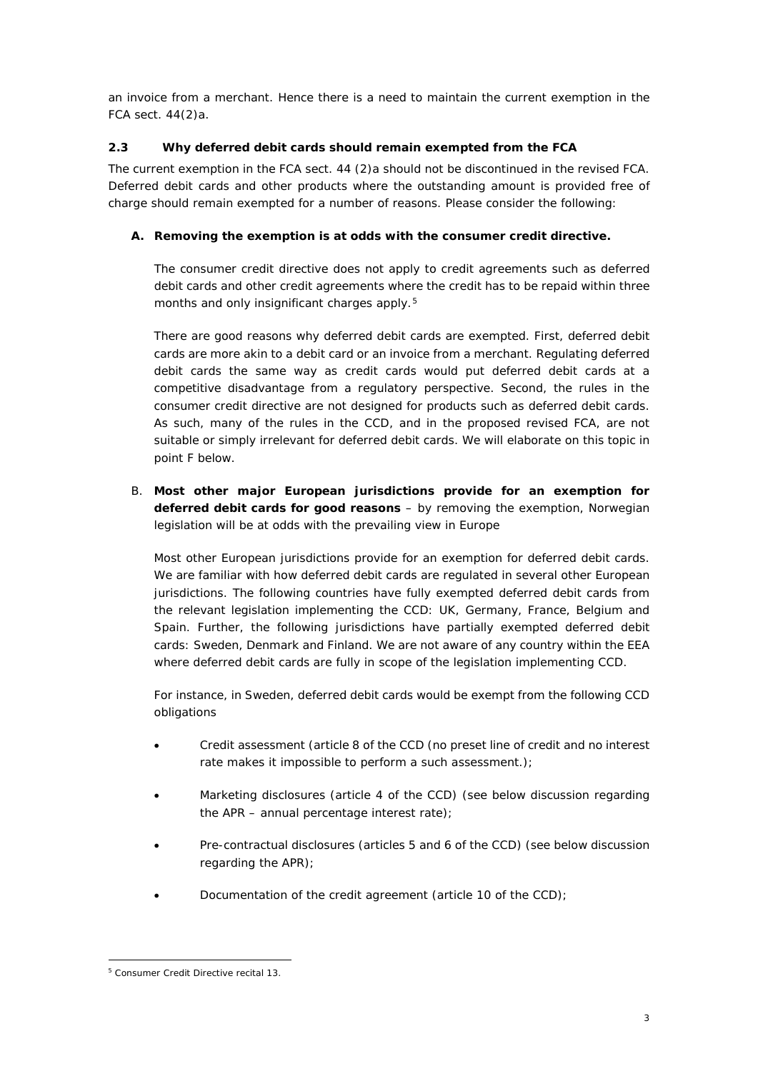an invoice from a merchant. Hence there is a need to maintain the current exemption in the FCA sect. 44(2)a.

## **2.3 Why deferred debit cards should remain exempted from the FCA**

The current exemption in the FCA sect. 44 (2)a should not be discontinued in the revised FCA. Deferred debit cards and other products where the outstanding amount is provided free of charge should remain exempted for a number of reasons. Please consider the following:

## **A. Removing the exemption is at odds with the consumer credit directive.**

The consumer credit directive does not apply to credit agreements such as deferred debit cards and other credit agreements where the credit has to be repaid within three months and only insignificant charges apply.<sup>[5](#page-2-0)</sup>

There are good reasons why deferred debit cards are exempted. First, deferred debit cards are more akin to a debit card or an invoice from a merchant. Regulating deferred debit cards the same way as credit cards would put deferred debit cards at a competitive disadvantage from a regulatory perspective. Second, the rules in the consumer credit directive are not designed for products such as deferred debit cards. As such, many of the rules in the CCD, and in the proposed revised FCA, are not suitable or simply irrelevant for deferred debit cards. We will elaborate on this topic in point F below.

B. **Most other major European jurisdictions provide for an exemption for deferred debit cards for good reasons** – by removing the exemption, Norwegian legislation will be at odds with the prevailing view in Europe

Most other European jurisdictions provide for an exemption for deferred debit cards. We are familiar with how deferred debit cards are regulated in several other European jurisdictions. The following countries have fully exempted deferred debit cards from the relevant legislation implementing the CCD: UK, Germany, France, Belgium and Spain. Further, the following jurisdictions have partially exempted deferred debit cards: Sweden, Denmark and Finland. We are not aware of any country within the EEA where deferred debit cards are fully in scope of the legislation implementing CCD.

For instance, in Sweden, deferred debit cards would be exempt from the following CCD obligations

- Credit assessment (article 8 of the CCD (no preset line of credit and no interest rate makes it impossible to perform a such assessment.);
- Marketing disclosures (article 4 of the CCD) (see below discussion regarding the APR – annual percentage interest rate);
- Pre-contractual disclosures (articles 5 and 6 of the CCD) (see below discussion regarding the APR);
- Documentation of the credit agreement (article 10 of the CCD);

<span id="page-2-0"></span><sup>-</sup><sup>5</sup> Consumer Credit Directive recital 13.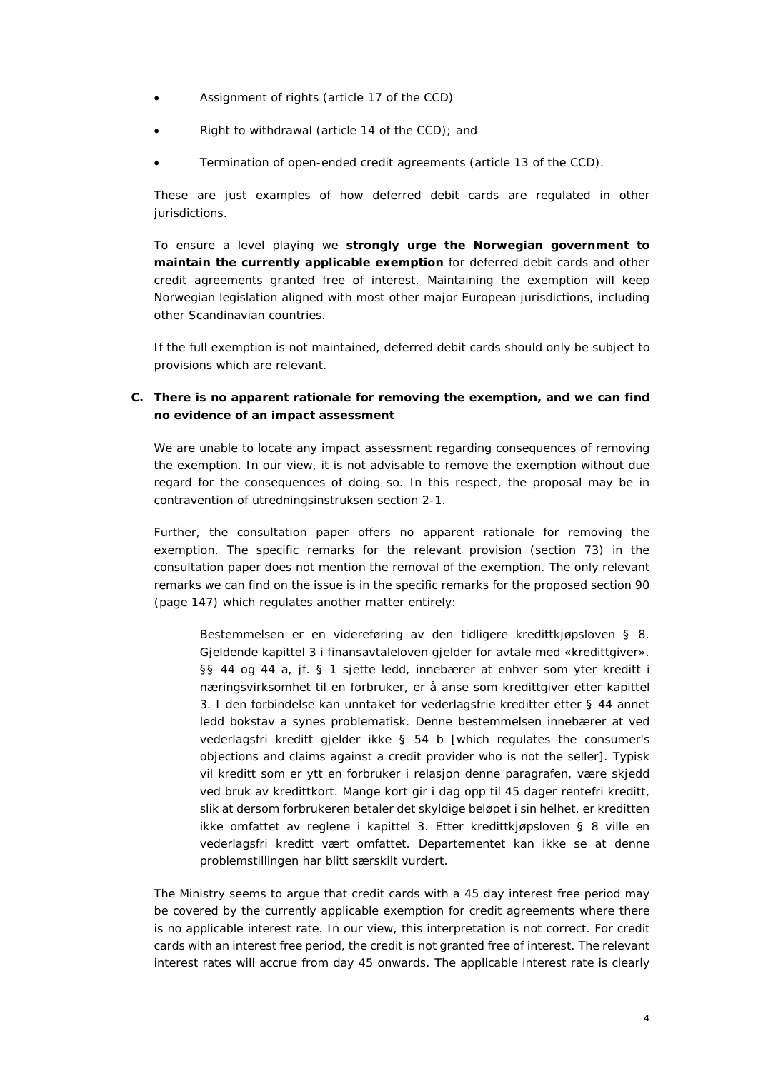- Assignment of rights (article 17 of the CCD)
- Right to withdrawal (article 14 of the CCD); and
- Termination of open-ended credit agreements (article 13 of the CCD).

These are just examples of how deferred debit cards are regulated in other jurisdictions.

To ensure a level playing we **strongly urge the Norwegian government to maintain the currently applicable exemption** for deferred debit cards and other credit agreements granted free of interest. Maintaining the exemption will keep Norwegian legislation aligned with most other major European jurisdictions, including other Scandinavian countries.

If the full exemption is not maintained, deferred debit cards should only be subject to provisions which are relevant.

## **C. There is no apparent rationale for removing the exemption, and we can find no evidence of an impact assessment**

We are unable to locate any impact assessment regarding consequences of removing the exemption. In our view, it is not advisable to remove the exemption without due regard for the consequences of doing so. In this respect, the proposal may be in contravention of *utredningsinstruksen* section 2-1.

Further, the consultation paper offers no apparent rationale for removing the exemption. The specific remarks for the relevant provision (section 73) in the consultation paper does not mention the removal of the exemption. The only relevant remarks we can find on the issue is in the specific remarks for the proposed section 90 (page 147) which regulates another matter entirely:

*Bestemmelsen er en videreføring av den tidligere kredittkjøpsloven § 8. Gjeldende kapittel 3 i finansavtaleloven gjelder for avtale med «kredittgiver». §§ 44 og 44 a, jf. § 1 sjette ledd, innebærer at enhver som yter kreditt i næringsvirksomhet til en forbruker, er å anse som kredittgiver etter kapittel 3. I den forbindelse kan unntaket for vederlagsfrie kreditter etter § 44 annet ledd bokstav a synes problematisk. Denne bestemmelsen innebærer at ved vederlagsfri kreditt gjelder ikke § 54 b [which regulates the consumer's objections and claims against a credit provider who is not the seller]. Typisk vil kreditt som er ytt en forbruker i relasjon denne paragrafen, være skjedd ved bruk av kredittkort. Mange kort gir i dag opp til 45 dager rentefri kreditt, slik at dersom forbrukeren betaler det skyldige beløpet i sin helhet, er kreditten ikke omfattet av reglene i kapittel 3. Etter kredittkjøpsloven § 8 ville en vederlagsfri kreditt vært omfattet. Departementet kan ikke se at denne problemstillingen har blitt særskilt vurdert.*

The Ministry seems to argue that credit cards with a 45 day interest free period may be covered by the currently applicable exemption for credit agreements where there is no applicable interest rate. In our view, this interpretation is not correct. For credit cards with an interest free period, the credit is not granted free of interest. The relevant interest rates will accrue from day 45 onwards. The applicable interest rate is clearly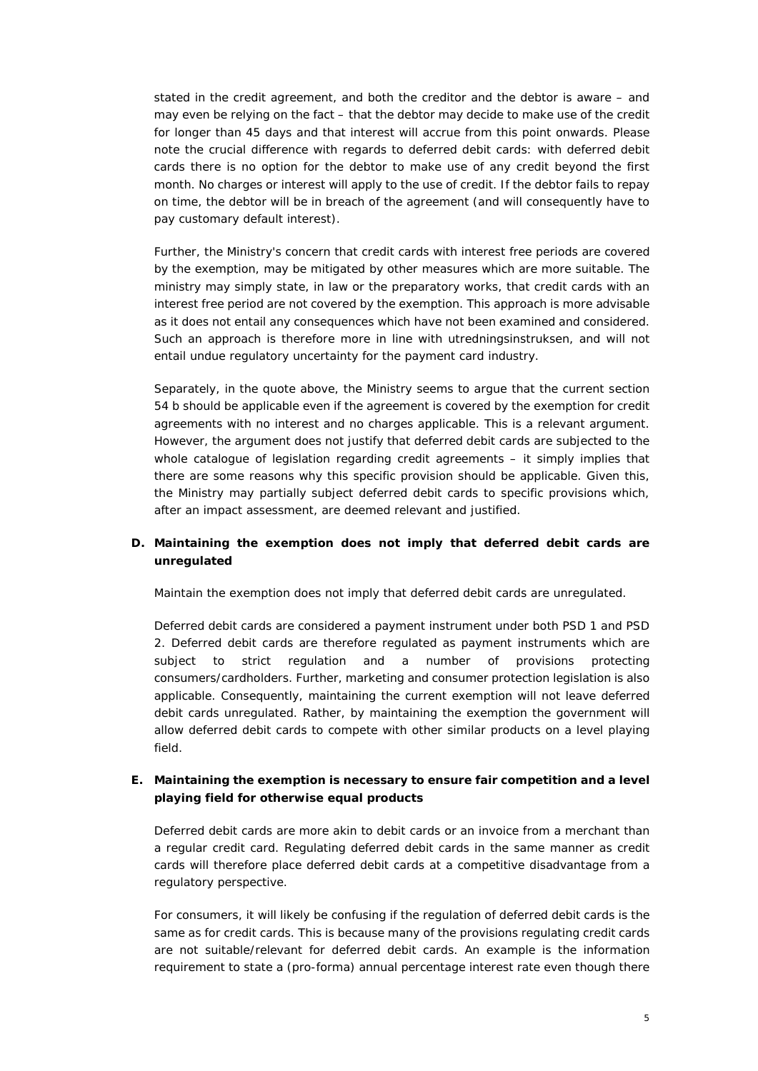stated in the credit agreement, and both the creditor and the debtor is aware – and may even be relying on the fact – that the debtor may decide to make use of the credit for longer than 45 days and that interest will accrue from this point onwards. Please note the crucial difference with regards to deferred debit cards: with deferred debit cards there is no option for the debtor to make use of any credit beyond the first month. No charges or interest will apply to the use of credit. If the debtor fails to repay on time, the debtor will be in breach of the agreement (and will consequently have to pay customary default interest).

Further, the Ministry's concern that credit cards with interest free periods are covered by the exemption, may be mitigated by other measures which are more suitable. The ministry may simply state, in law or the preparatory works, that credit cards with an interest free period are not covered by the exemption. This approach is more advisable as it does not entail any consequences which have not been examined and considered. Such an approach is therefore more in line with *utredningsinstruksen*, and will not entail undue regulatory uncertainty for the payment card industry.

Separately, in the quote above, the Ministry seems to argue that the current section 54 b should be applicable even if the agreement is covered by the exemption for credit agreements with no interest and no charges applicable. This is a relevant argument. However, the argument does not justify that deferred debit cards are subjected to the whole catalogue of legislation regarding credit agreements – it simply implies that there are some reasons why this specific provision should be applicable. Given this, the Ministry may partially subject deferred debit cards to specific provisions which, after an impact assessment, are deemed relevant and justified.

## **D. Maintaining the exemption does not imply that deferred debit cards are unregulated**

Maintain the exemption does not imply that deferred debit cards are unregulated.

Deferred debit cards are considered a payment instrument under both PSD 1 and PSD 2. Deferred debit cards are therefore regulated as payment instruments which are subject to strict regulation and a number of provisions protecting consumers/cardholders. Further, marketing and consumer protection legislation is also applicable. Consequently, maintaining the current exemption will not leave deferred debit cards unregulated. Rather, by maintaining the exemption the government will allow deferred debit cards to compete with other similar products on a level playing field.

## **E. Maintaining the exemption is necessary to ensure fair competition and a level playing field for otherwise equal products**

Deferred debit cards are more akin to debit cards or an invoice from a merchant than a regular credit card. Regulating deferred debit cards in the same manner as credit cards will therefore place deferred debit cards at a competitive disadvantage from a regulatory perspective.

For consumers, it will likely be confusing if the regulation of deferred debit cards is the same as for credit cards. This is because many of the provisions regulating credit cards are not suitable/relevant for deferred debit cards. An example is the information requirement to state a (pro-forma) annual percentage interest rate even though there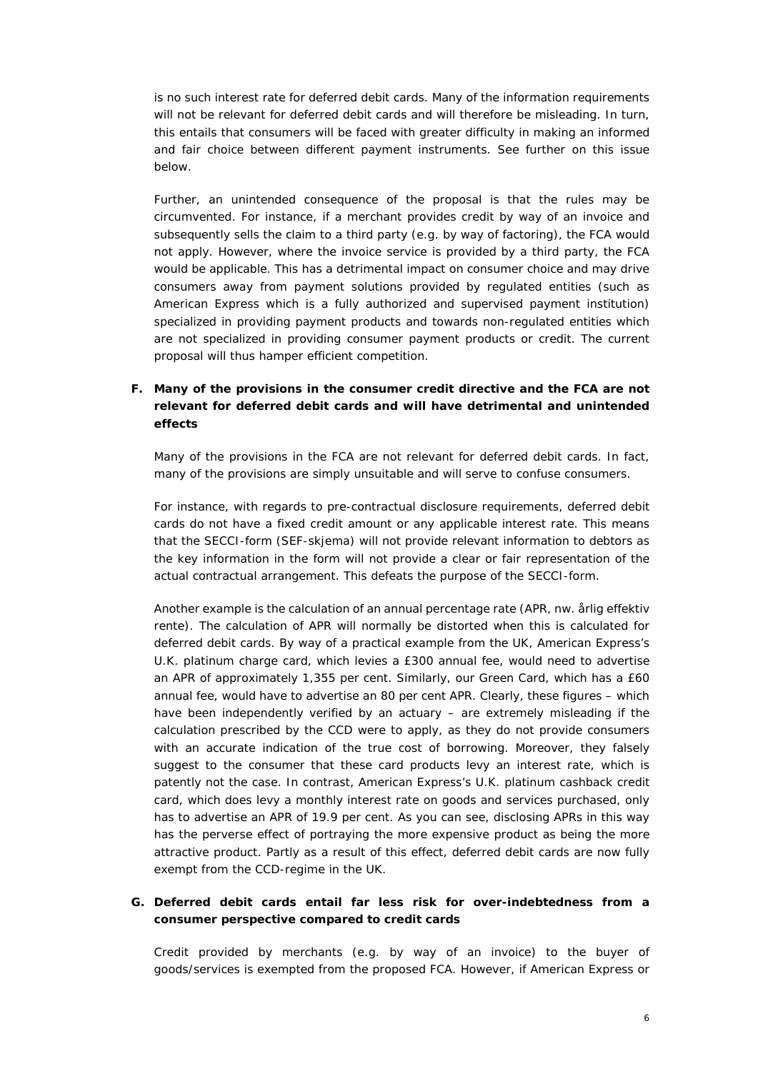is no such interest rate for deferred debit cards. Many of the information requirements will not be relevant for deferred debit cards and will therefore be misleading. In turn, this entails that consumers will be faced with greater difficulty in making an informed and fair choice between different payment instruments. See further on this issue below.

Further, an unintended consequence of the proposal is that the rules may be circumvented. For instance, if a merchant provides credit by way of an invoice and subsequently sells the claim to a third party (e.g. by way of factoring), the FCA would not apply. However, where the invoice service is provided by a third party, the FCA would be applicable. This has a detrimental impact on consumer choice and may drive consumers away from payment solutions provided by regulated entities (such as American Express which is a fully authorized and supervised payment institution) specialized in providing payment products and towards non-regulated entities which are not specialized in providing consumer payment products or credit. The current proposal will thus hamper efficient competition.

# **F. Many of the provisions in the consumer credit directive and the FCA are not relevant for deferred debit cards and will have detrimental and unintended effects**

Many of the provisions in the FCA are not relevant for deferred debit cards. In fact, many of the provisions are simply unsuitable and will serve to confuse consumers.

For instance, with regards to pre-contractual disclosure requirements, deferred debit cards do not have a fixed credit amount or any applicable interest rate. This means that the SECCI-form (*SEF-skjema*) will not provide relevant information to debtors as the key information in the form will not provide a clear or fair representation of the actual contractual arrangement. This defeats the purpose of the SECCI-form.

Another example is the calculation of an annual percentage rate (APR, *nw. årlig effektiv rente*). The calculation of APR will normally be distorted when this is calculated for deferred debit cards. By way of a practical example from the UK, American Express's U.K. platinum charge card, which levies a £300 annual fee, would need to advertise an APR of approximately 1,355 per cent. Similarly, our Green Card, which has a £60 annual fee, would have to advertise an 80 per cent APR. Clearly, these figures – which have been independently verified by an actuary – are extremely misleading if the calculation prescribed by the CCD were to apply, as they do not provide consumers with an accurate indication of the true cost of borrowing. Moreover, they falsely suggest to the consumer that these card products levy an interest rate, which is patently not the case. In contrast, American Express's U.K. platinum cashback credit card, which does levy a monthly interest rate on goods and services purchased, only has to advertise an APR of 19.9 per cent. As you can see, disclosing APRs in this way has the perverse effect of portraying the more expensive product as being the more attractive product. Partly as a result of this effect, deferred debit cards are now fully exempt from the CCD-regime in the UK.

## **G. Deferred debit cards entail far less risk for over-indebtedness from a consumer perspective compared to credit cards**

Credit provided by merchants (e.g. by way of an invoice) to the buyer of goods/services is exempted from the proposed FCA. However, if American Express or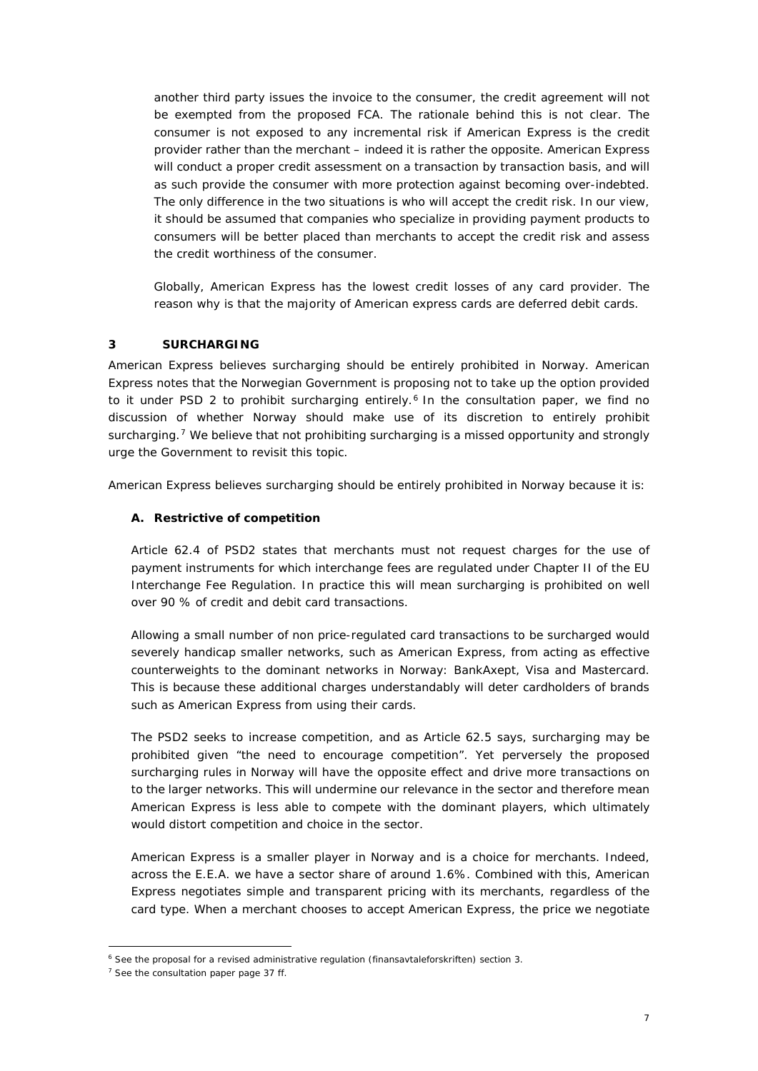another third party issues the invoice to the consumer, the credit agreement will not be exempted from the proposed FCA. The rationale behind this is not clear. The consumer is not exposed to any incremental risk if American Express is the credit provider rather than the merchant – indeed it is rather the opposite. American Express will conduct a proper credit assessment on a transaction by transaction basis, and will as such provide the consumer with more protection against becoming over-indebted. The only difference in the two situations is who will accept the credit risk. In our view, it should be assumed that companies who specialize in providing payment products to consumers will be better placed than merchants to accept the credit risk and assess the credit worthiness of the consumer.

Globally, American Express has the lowest credit losses of any card provider. The reason why is that the majority of American express cards are deferred debit cards.

## **3 SURCHARGING**

American Express believes surcharging should be entirely prohibited in Norway. American Express notes that the Norwegian Government is proposing not to take up the option provided to it under PSD 2 to prohibit surcharging entirely.<sup>[6](#page-6-0)</sup> In the consultation paper, we find no discussion of whether Norway should make use of its discretion to entirely prohibit surcharging.<sup>[7](#page-6-1)</sup> We believe that not prohibiting surcharging is a missed opportunity and strongly urge the Government to revisit this topic.

American Express believes surcharging should be entirely prohibited in Norway because it is:

## **A. Restrictive of competition**

Article 62.4 of PSD2 states that merchants must not request charges for the use of payment instruments for which interchange fees are regulated under Chapter II of the EU Interchange Fee Regulation. In practice this will mean surcharging is prohibited on well over 90 % of credit and debit card transactions.

Allowing a small number of non price-regulated card transactions to be surcharged would severely handicap smaller networks, such as American Express, from acting as effective counterweights to the dominant networks in Norway: BankAxept, Visa and Mastercard. This is because these additional charges understandably will deter cardholders of brands such as American Express from using their cards.

The PSD2 seeks to increase competition, and as Article 62.5 says, surcharging may be prohibited given "the need to encourage competition". Yet perversely the proposed surcharging rules in Norway will have the opposite effect and drive more transactions on to the larger networks. This will undermine our relevance in the sector and therefore mean American Express is less able to compete with the dominant players, which ultimately would distort competition and choice in the sector.

American Express is a smaller player in Norway and is a choice for merchants. Indeed, across the E.E.A. we have a sector share of around 1.6%. Combined with this, American Express negotiates simple and transparent pricing with its merchants, regardless of the card type. When a merchant chooses to accept American Express, the price we negotiate

<sup>&</sup>lt;u>.</u> <sup>6</sup> See the proposal for a revised administrative regulation (*finansavtaleforskriften*) section 3.

<span id="page-6-1"></span><span id="page-6-0"></span><sup>7</sup> See the consultation paper page 37 ff.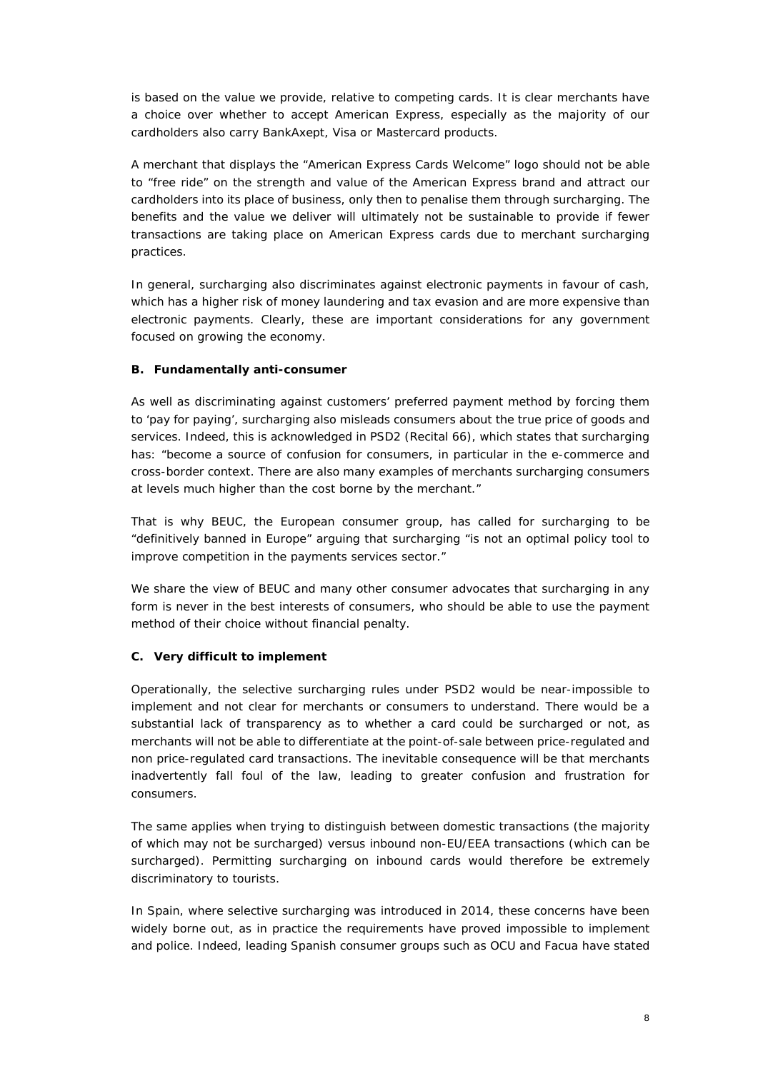is based on the value we provide, relative to competing cards. It is clear merchants have a choice over whether to accept American Express, especially as the majority of our cardholders also carry BankAxept, Visa or Mastercard products.

A merchant that displays the "American Express Cards Welcome" logo should not be able to "free ride" on the strength and value of the American Express brand and attract our cardholders into its place of business, only then to penalise them through surcharging. The benefits and the value we deliver will ultimately not be sustainable to provide if fewer transactions are taking place on American Express cards due to merchant surcharging practices.

In general, surcharging also discriminates against electronic payments in favour of cash, which has a higher risk of money laundering and tax evasion and are more expensive than electronic payments. Clearly, these are important considerations for any government focused on growing the economy.

## **B. Fundamentally anti-consumer**

As well as discriminating against customers' preferred payment method by forcing them to 'pay for paying', surcharging also misleads consumers about the true price of goods and services. Indeed, this is acknowledged in PSD2 (Recital 66), which states that surcharging has: *"become a source of confusion for consumers, in particular in the e-commerce and cross-border context. There are also many examples of merchants surcharging consumers at levels much higher than the cost borne by the merchant."* 

That is why BEUC, the European consumer group, has called for surcharging to be "definitively banned in Europe" arguing that surcharging "is not an optimal policy tool to improve competition in the payments services sector."

We share the view of BEUC and many other consumer advocates that surcharging in any form is never in the best interests of consumers, who should be able to use the payment method of their choice without financial penalty.

## **C. Very difficult to implement**

Operationally, the selective surcharging rules under PSD2 would be near-impossible to implement and not clear for merchants or consumers to understand. There would be a substantial lack of transparency as to whether a card could be surcharged or not, as merchants will not be able to differentiate at the point-of-sale between price-regulated and non price-regulated card transactions. The inevitable consequence will be that merchants inadvertently fall foul of the law, leading to greater confusion and frustration for consumers.

The same applies when trying to distinguish between domestic transactions (the majority of which may not be surcharged) versus inbound non-EU/EEA transactions (which can be surcharged). Permitting surcharging on inbound cards would therefore be extremely discriminatory to tourists.

In Spain, where selective surcharging was introduced in 2014, these concerns have been widely borne out, as in practice the requirements have proved impossible to implement and police. Indeed, leading Spanish consumer groups such as OCU and Facua have stated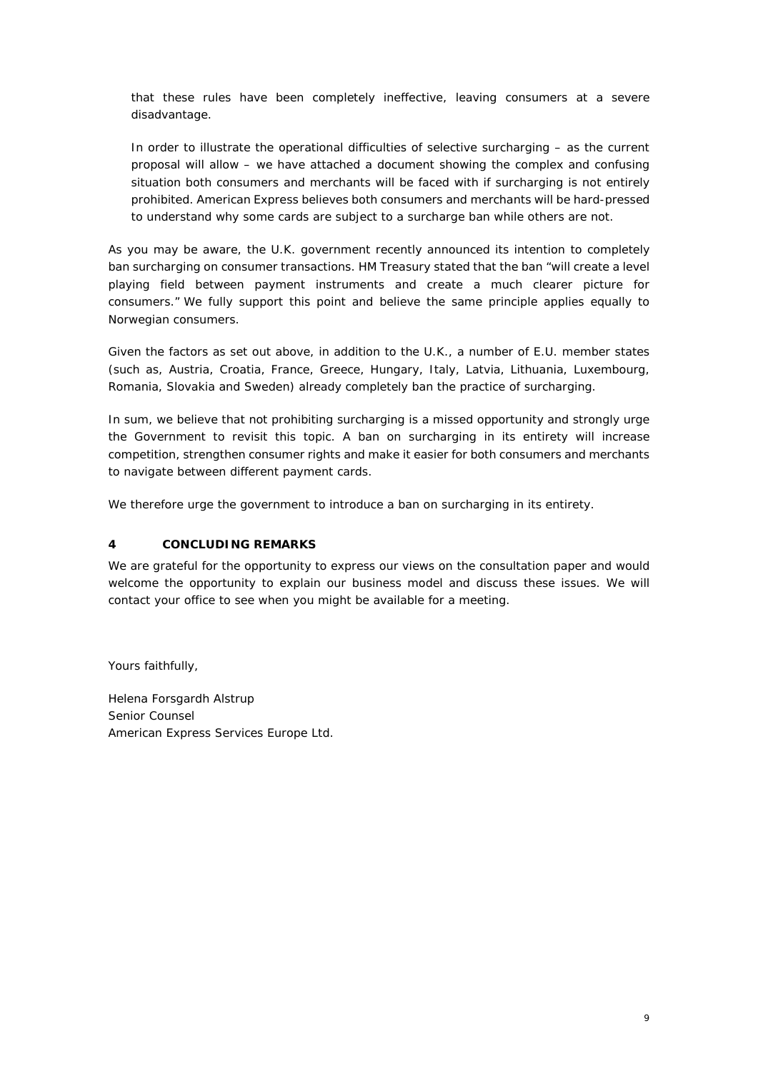that these rules have been completely ineffective, leaving consumers at a severe disadvantage.

In order to illustrate the operational difficulties of selective surcharging – as the current proposal will allow – we have attached a document showing the complex and confusing situation both consumers and merchants will be faced with if surcharging is not entirely prohibited. American Express believes both consumers and merchants will be hard-pressed to understand why some cards are subject to a surcharge ban while others are not.

As you may be aware, the U.K. government recently announced its intention to completely ban surcharging on consumer transactions. HM Treasury stated that the ban "will create a level playing field between payment instruments and create a much clearer picture for consumers." We fully support this point and believe the same principle applies equally to Norwegian consumers.

Given the factors as set out above, in addition to the U.K., a number of E.U. member states (such as, Austria, Croatia, France, Greece, Hungary, Italy, Latvia, Lithuania, Luxembourg, Romania, Slovakia and Sweden) already completely ban the practice of surcharging.

In sum, we believe that not prohibiting surcharging is a missed opportunity and strongly urge the Government to revisit this topic. A ban on surcharging in its entirety will increase competition, strengthen consumer rights and make it easier for both consumers and merchants to navigate between different payment cards.

We therefore urge the government to introduce a ban on surcharging in its entirety.

## **4 CONCLUDING REMARKS**

We are grateful for the opportunity to express our views on the consultation paper and would welcome the opportunity to explain our business model and discuss these issues. We will contact your office to see when you might be available for a meeting.

Yours faithfully,

Helena Forsgardh Alstrup Senior Counsel American Express Services Europe Ltd.